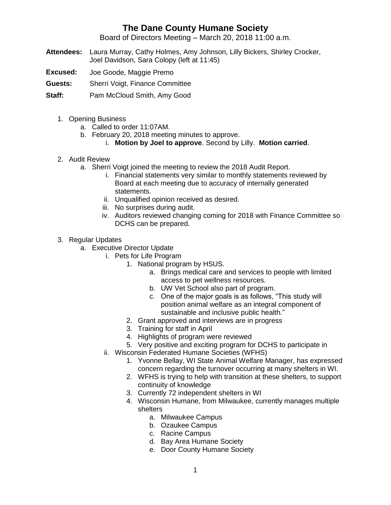## **The Dane County Humane Society**

Board of Directors Meeting – March 20, 2018 11:00 a.m.

- **Attendees:** Laura Murray, Cathy Holmes, Amy Johnson, Lilly Bickers, Shirley Crocker, Joel Davidson, Sara Colopy (left at 11:45)
- **Excused:** Joe Goode, Maggie Premo
- **Guests:** Sherri Voigt, Finance Committee

**Staff:** Pam McCloud Smith, Amy Good

- 1. Opening Business
	- a. Called to order 11:07AM.
	- b. February 20, 2018 meeting minutes to approve.
		- i. **Motion by Joel to approve**. Second by Lilly. **Motion carried**.
- 2. Audit Review
	- a. Sherri Voigt joined the meeting to review the 2018 Audit Report.
		- i. Financial statements very similar to monthly statements reviewed by Board at each meeting due to accuracy of internally generated statements.
		- ii. Unqualified opinion received as desired.
		- iii. No surprises during audit.
		- iv. Auditors reviewed changing coming for 2018 with Finance Committee so DCHS can be prepared.
- 3. Regular Updates
	- a. Executive Director Update
		- i. Pets for Life Program
			- 1. National program by HSUS.
				- a. Brings medical care and services to people with limited access to pet wellness resources.
				- b. UW Vet School also part of program.
				- c. One of the major goals is as follows, "This study will position animal welfare as an integral component of sustainable and inclusive public health."
			- 2. Grant approved and interviews are in progress
			- 3. Training for staff in April
			- 4. Highlights of program were reviewed
			- 5. Very positive and exciting program for DCHS to participate in
		- ii. Wisconsin Federated Humane Societies (WFHS)
			- 1. Yvonne Bellay, WI State Animal Welfare Manager, has expressed concern regarding the turnover occurring at many shelters in WI.
			- 2. WFHS is trying to help with transition at these shelters, to support continuity of knowledge
			- 3. Currently 72 independent shelters in WI
			- 4. Wisconsin Humane, from Milwaukee, currently manages multiple shelters
				- a. Milwaukee Campus
				- b. Ozaukee Campus
				- c. Racine Campus
				- d. Bay Area Humane Society
				- e. Door County Humane Society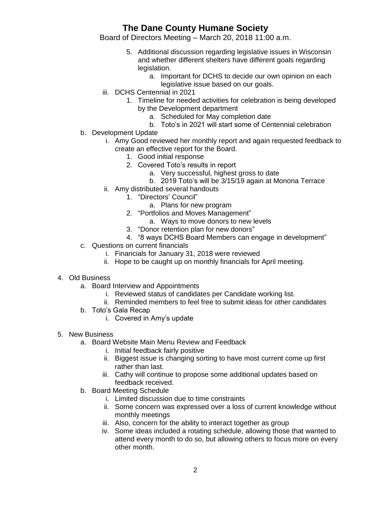## **The Dane County Humane Society**

Board of Directors Meeting – March 20, 2018 11:00 a.m.

- 5. Additional discussion regarding legislative issues in Wisconsin and whether different shelters have different goals regarding legislation.
	- a. Important for DCHS to decide our own opinion on each legislative issue based on our goals.
- iii. DCHS Centennial in 2021
	- 1. Timeline for needed activities for celebration is being developed by the Development department
		- a. Scheduled for May completion date
		- b. Toto's in 2021 will start some of Centennial celebration
- b. Development Update
	- i. Amy Good reviewed her monthly report and again requested feedback to create an effective report for the Board.
		- 1. Good initial response
		- 2. Covered Toto's results in report
			- a. Very successful, highest gross to date
			- b. 2019 Toto's will be 3/15/19 again at Monona Terrace
	- ii. Amy distributed several handouts
		- 1. "Directors' Council"
			- a. Plans for new program
		- 2. "Portfolios and Moves Management"
			- a. Ways to move donors to new levels
		- 3. "Donor retention plan for new donors"
		- 4. "8 ways DCHS Board Members can engage in development"
- c. Questions on current financials
	- i. Financials for January 31, 2018 were reviewed
	- ii. Hope to be caught up on monthly financials for April meeting.

## 4. Old Business

- a. Board Interview and Appointments
	- i. Reviewed status of candidates per Candidate working list.
	- ii. Reminded members to feel free to submit ideas for other candidates
- b. Toto's Gala Recap
	- i. Covered in Amy's update
- 5. New Business
	- a. Board Website Main Menu Review and Feedback
		- i. Initial feedback fairly positive
		- ii. Biggest issue is changing sorting to have most current come up first rather than last.
		- iii. Cathy will continue to propose some additional updates based on feedback received.
	- b. Board Meeting Schedule
		- i. Limited discussion due to time constraints
		- ii. Some concern was expressed over a loss of current knowledge without monthly meetings
		- iii. Also, concern for the ability to interact together as group
		- iv. Some ideas included a rotating schedule, allowing those that wanted to attend every month to do so, but allowing others to focus more on every other month.